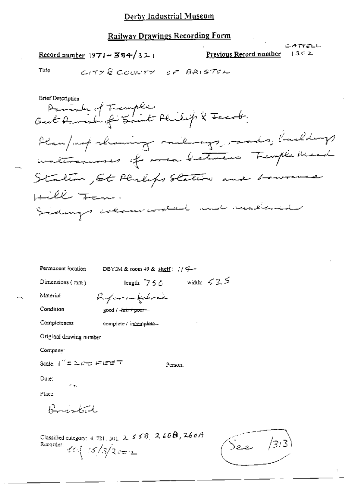#### Railway Drawings Recording Form

Record number  $1971 - 384/321$ 

Previous Record number

ساخ ہے کہ

 $1302$ 

Tide

 $C$  $T$  $T$  $R$   $C$  $C$  $C$  $N$  $T$  $T$  $C$  $F$   $R$  $R$  $R$  $S$  $T$  $C$  $F$ 

**Brief Description** Danish of Temples<br>Out Remarks of Saint Philip & Jacob. Plan/mot showing milinage, mades, buildings intercourses of meabletween Tremple Mead  $\sqrt{2}$ Stalin, St Philips Station and  $H\ddot{U}$ Sidays alam autor aux numberid

| Permanent location            | DBYIM & room $49$ & shelf: $11$ $4-$ |                   |
|-------------------------------|--------------------------------------|-------------------|
| Dimensions $(\pi n)$          | length: $756$                        | width: $\leq 2.5$ |
| Material                      | Ayan-on faloria                      |                   |
| Condition                     | good / -fair + poor --               |                   |
| Completeness                  | complete / incomplete.               |                   |
| Original drawing number       |                                      |                   |
| Company:                      |                                      |                   |
| Scale: ("± ಒ <i>್ಲ</i> ភ22ಕೆಸ | Person:                              |                   |
| Date:                         |                                      |                   |
| ۸ę.<br>Place.                 |                                      |                   |
| Burnhack                      |                                      |                   |

Classified category: 4, 721, 301,  $2, 55B$ ,  $2, 66B$ ,  $266A$ Recorder:  $40\sqrt{3/3}$ c=

See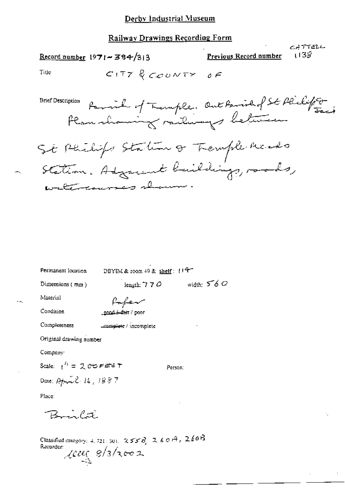### Railway Drawings Recording Form

| Record number $1971 - 384/313$                                                    | 138ء<br><b>Previous Record number</b> |
|-----------------------------------------------------------------------------------|---------------------------------------|
| Title<br>CITY & COUNTY OF                                                         |                                       |
| cription Parmich of Temple. Out Parishof St Philip To<br><b>Brief Description</b> |                                       |
| St Philips Station of Tremple Mento                                               |                                       |

CATTELL

 $\div$ 

Station. Adjacent buildings, roods, alma causano

| Permanent location                                                                                        | DBYIM & reom $+9$ & shelf: $114$ |              |  |  |
|-----------------------------------------------------------------------------------------------------------|----------------------------------|--------------|--|--|
| Dimensions $(mn)$                                                                                         | length: 7 7 $\sigma$             | width: $560$ |  |  |
| Material                                                                                                  | fafev                            |              |  |  |
| Condition                                                                                                 | <u>ened Afair</u> / poor         |              |  |  |
| Completeness                                                                                              | complete / incomplete            |              |  |  |
| Original drawing number                                                                                   |                                  |              |  |  |
| Company:                                                                                                  |                                  |              |  |  |
| Scale: $1^R = 2$ CO FeFe T                                                                                |                                  | Person:      |  |  |
| Date: $\rho_{\phi} = \mathcal{E} \cdot \mathcal{E} \cdot \mathcal{E} \cdot \mathcal{E} \cdot \mathcal{E}$ |                                  |              |  |  |
| Place:                                                                                                    |                                  |              |  |  |
| $B_{\text{max}}$                                                                                          |                                  |              |  |  |
| Classified category: 4, 721, 301, $2556$ , $2607$ , $2607$<br>Recorder:<br>$2000 \frac{9}{3}$ hoos        |                                  |              |  |  |

- -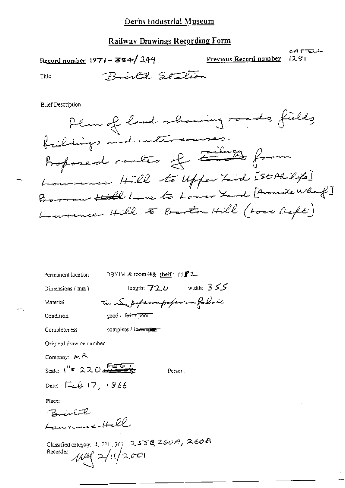#### **Railway Drawings Recording Form**

Record number  $1971 - 384/249$ 

Previous Record number

CATTELL  $1281$ 

Title

Right Station

**Brief Description** 

Plan of land showing roads, fields brildings and watercourses. Bosponed routes of Zilway from Lowrence Hill to Upfer Lind [St Philips] Barrow Hill Lune to Lower Yard [Arounde What?] Laurence Hill to Barton Hill (Loco Deft)

Permanent location

DBYIM & room #& shelf:  $11f^2$ 2

Dimensions (mm)

Material

length:  $72.0$  width:  $355$ Trees poper or poper on fabric

Condition

complete / incomplet

good / Fart Tpoor

Original drawing number

Company:  $M \uparrow A$ 

Completeness

Person:

Date:  $E_4 \& 17, 1866$ 

Scale:  $1^{H}$  = 220

Place:

Brislate Lawrence Hell

Classified category: 4, 721, 301. 2558, 260A, 260B Recorder:  $\mu\mu$   $\approx$   $\mu$   $/200$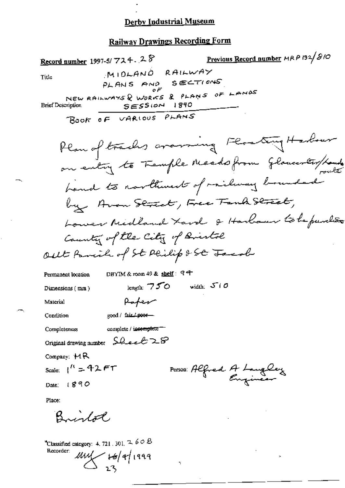### **Railway Drawings Recording Form**

Previous Record number MRP 132/210 Record number 1997-5/724. 28 MIOLAND RAILWAY Title  $SECTIONS$ PLANS AND o F NEW RAILWAYS & WORKS & PLANS OF LANDS  $SESS(ON 1890$ **Brief Description** BOOK OF VARIOUS PLANS Plan of tracks avarring Floating Harbour on entry to Femple Meads from Gloucentry/Land hand to northwest of railway bounded by Avon Street, Free Fand Street, Lower Midland Lard & Harbour tobe purchão County of the City of Bristol out family of St Philip & St Jacob DBYIM & room 49 & shelf: 94 Permanent location length:  $750$  width:  $500$ Dimensions (mm) Paper Material Condition  $good /$  fair  $1$  poorcomplete / incomplete == Completeness Original drawing number  $\mathcal{L}_{\text{back}} \mathcal{L} \geq \mathcal{S}$ Company:  $MAR$ Scale:  $\frac{1}{1}$  = 42 FT Person: Alfred A Langley

Date: 1890

Place:

Bristol

<sup>\*</sup>Classified category: 4, 721, 301,  $\approx$  60  $B$ Recorder:  $\frac{1}{2}$   $\frac{16}{4}$  1999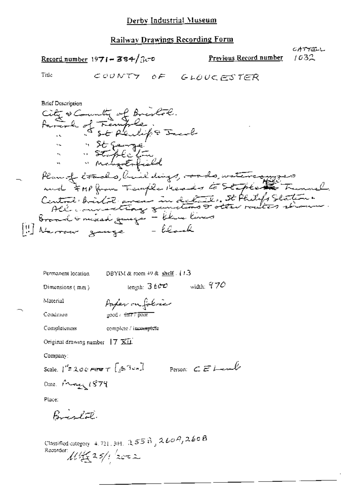### Railway Drawings Recording Form

| Record number 1971 - 384/ $3\sigma$                                                                                                                                           |                                       |                             | <u>Previous Record number</u>                                                                        | CATTELL<br>1032 |
|-------------------------------------------------------------------------------------------------------------------------------------------------------------------------------|---------------------------------------|-----------------------------|------------------------------------------------------------------------------------------------------|-----------------|
| Title                                                                                                                                                                         | COUNTY OF                             | <b>GLOUCESTER</b>           |                                                                                                      |                 |
| <b>Brief Description</b><br>City & County of Brestol.<br>family of Temple.<br>and FMP from Temple Heads to Staple<br>Broad Grusied gauge - blan lines<br>Navour gauge - black | " "St Sange"<br>" Mengotofished       |                             | Plan of tracks, have digs, orado, watercompos<br>Central britil aven in details. St Philips Station. | & Funnel        |
| Permanent lecation                                                                                                                                                            | DBYIM & room $49$ & shelf $\div$ (13) |                             |                                                                                                      |                 |
| Dimensions (mm)                                                                                                                                                               |                                       | length: $3600$ width: $970$ |                                                                                                      |                 |
| Material                                                                                                                                                                      | Paper on folice                       |                             |                                                                                                      |                 |
| Condition                                                                                                                                                                     | good / <i>चेत्रा / p</i> ear          |                             |                                                                                                      |                 |

Completeness

 $[!!] \centering% \includegraphics[width=0.9\columnwidth]{figures/20000.pdf} \includegraphics[width=0.9\columnwidth]{figures/20000.pdf} \includegraphics[width=0.9\columnwidth]{figures/20000.pdf} \includegraphics[width=0.9\columnwidth]{figures/20000.pdf} \includegraphics[width=0.9\columnwidth]{figures/20000.pdf} \includegraphics[width=0.9\columnwidth]{figures/20000.pdf} \includegraphics[width=0.9\columnwidth]{figures/20000.pdf} \includegraphics[width=0.9\columnwidth]{figures/20000.pdf} \includegraphics[width=0.9\columnwidth]{figures/20000.pdf} \includegraphics[width=0.9\columnwidth]{figures/$ 

complete / incomplete

Original drawing number | 7 XII

Company:

Scale  $\int^{\prime} z \cos \theta e^{-i\theta} d\theta$ 

Person: CEL-emb

Place:

Bristal

Date: Prince 1879

Classified category 4.721, 301, 2558, 260A, 260B<br>Recorder:  $\mathcal{U}\left(\frac{1}{2} 35\right)$  2002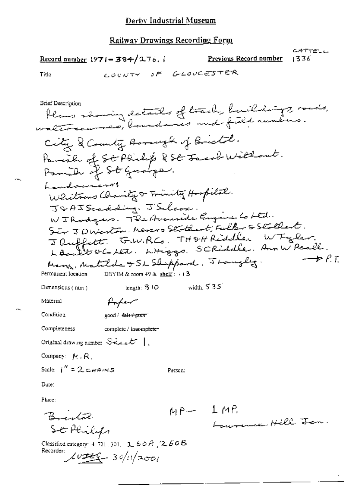#### Railway Drawings Recording Form

CATTELL Record number 1971-384/276. **Previous Record number** 1336 COUNTY OF GLOUGESTER Title bleme showing details of back, buildings, roads, City & County Bonnesk of Bristol. Parish of St Plinkip & St Jacob Willows.<br>Panish of St Grange. Landowners! Whiteous Charity & Friendly Hospital. JGAJScadding. JSilcox. W J Rodgers. The Avanide Engine to Ltd. Sir JDWerton, Messo Stothart, Fuller & Stothart. Jauffett GWRCO, THOHRiddle WTyler.<br>LBoult GCotet, LHiggo, SCRiddle, Ann WPeall.  $\rightarrow$  P.T. Mary, Matilda & SL Shippard, Jourgly. Permanent location DBYIM & toom 49 & shelf: 113 width:  $535$ length:  $310$ Dimensions (nun) Poper Material Condition good / fair+poor Completeness complete / in<del>complete</del>= Original drawing number  $S_{\mathcal{R},\mathcal{L},\mathcal{L}}\mathcal{L}$  | Company: M.R. Scale:  $1'' = 2cmams$ Person: Date: Place:  $MP - 1MP$ Budala Lowrence Hill Jan. SE Philips Classified category: 4, 721, 301,  $2.60A/2.60B$ Recorder:  $Lv = 30/11/2001$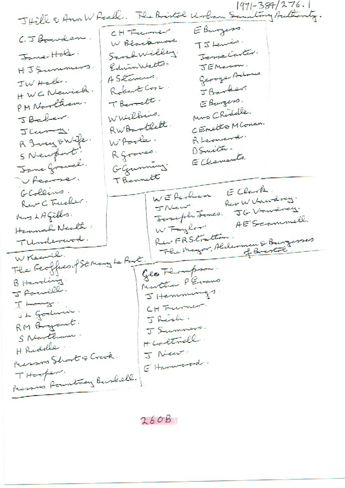$1971 - 384/276.1$ JHill & Ann W Reall. The Bristol Urban Saultony Authority. E Burgess. CHTumer CJ Bowden. W Blackmore.  $T5$  Lewis. Jeme Carter. Sarah Willey. Jane-Hole. Edwin Walts. HJSummers. JEMANOW. George Adams. AStevens. JW Hall. Robert Cose. J Barker. HWCNewick. T Bernett. E Burgers. PM Northam. Mrs Chidelle. WWilbies. JBaber. CEnster Mconan. RWBartlett. JCura. R Leonard. A Tucy owife WPoole. OSmith. SNewport. Rgraves. E Clements. Jane Gravel. GGunning TBennett Pearse. E Clark. GColleins. WERE de Riv W Vacodrey. Rev C Trucher. JNew. JG Vandrey. Soseph Tomes. Mus LAGills. AEScammell. Hannah Nealth. W Taylor. Rev FRSCratton. Flex Mayor, Alderman & Burgerses TUnderwood. WKeeril. The Feoffice of Strong he Port. Geo Flompson: Monttra PEvans. B Harding. J Romill. J Hemmungs. I Long CH Furnier. St Godwin J Rich. RM Bryant. J Summers. S Northam. HCottrell H Ridolle. J New. Messoa Short & Crook. E Harmondo. THooper. Messons Roundway Buskell.

 $260B$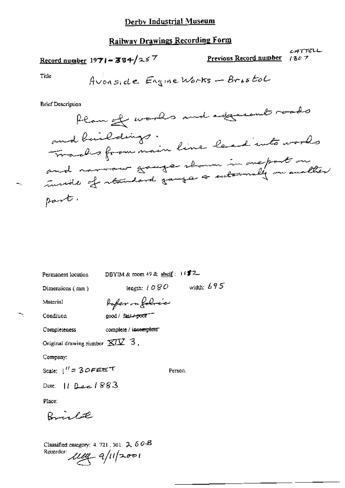## Railway Drawings Recording Form

## Record number  $1971 - 384/257$

Previous Record number  $1307$ 

CATTELL

Title

**Brief Description** 

| Permanent location                                      | DBYIM & room 49 & shelf : $\mathbf{i}$ ( $\mathbf{\mathcal{Z}}$ 2 |              |
|---------------------------------------------------------|-------------------------------------------------------------------|--------------|
| Dimensions (mm)                                         | leagth: / $\mathcal{O}\ \mathcal{SO}$                             | width: $695$ |
| Material                                                | fofer on folocie                                                  |              |
| Condition                                               | good / fair <del>/ po</del> o <b>r</b> "                          |              |
| Completeness                                            | complete / incomplete"                                            |              |
| Original drawing number $\overline{XIX}$ 3.             |                                                                   |              |
| Company:                                                |                                                                   |              |
| Scale: $1'' = 3$ O F E E $^{\text{th}}$                 |                                                                   | Person.      |
| Date: 11 Dec 1883                                       |                                                                   |              |
| Place:                                                  |                                                                   |              |
| Richard                                                 |                                                                   |              |
| Classified category: 4, 721, 301, $2, 60B$<br>Recorder: | $\mu$ m a/11/2001                                                 |              |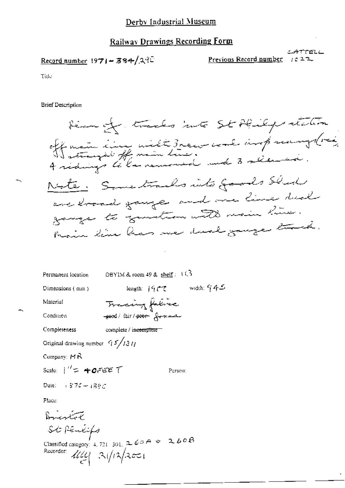### **Railway Drawings Recording Form**

$$
\underline{\text{Record number}} \; 1971 - 384 / 27^{\circ}
$$

三舟方方印石 Previous Record number  $1022$ 

Title

**Brief Description** 

Hermon tracks into St Philips station off main cinq uilt 3 rece coul and samples Note: Sometrails into goods Sled are loosed gauge and one line deal gange to genetical with main hime. Main line has me durk gange track.

DBYIM & room 49 & shelf:  $1\sqrt{3}$ Permanent location

Tracing fabre

good/fair/poor forman

Dimensions (mm)

length:  $|9 \, \text{CZ}$  width:  $945$ 

Condition

Material

Completeness complete / i<del>ncomplete</del>

Original drawing number  $\frac{c_1}{2}$ /13/1

Company:  $H R$ 

Scale:  $i'' = 40.7557$ 

Person:

Dete: 1874 - 1897

Place:

Brigador St Pénlifs Classified category: 4, 721-301,  $2.67A + 2.60B$ Recorder:  $414 = 31/12/3$